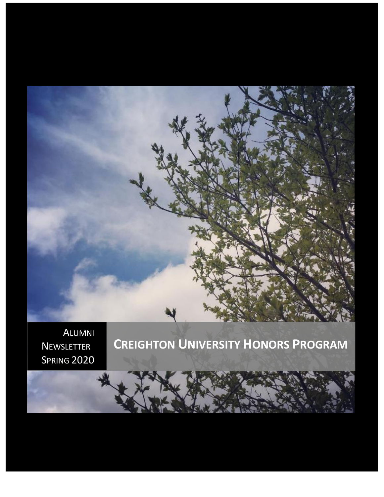

SPRING 2020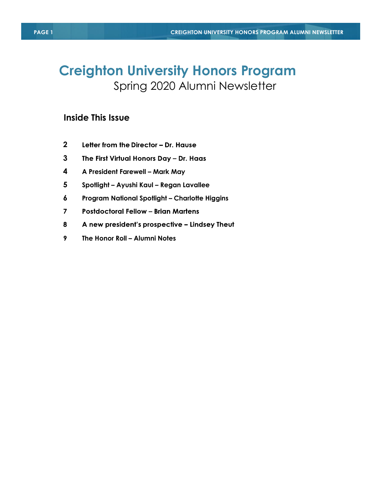# **Creighton University Honors Program** Spring 2020 Alumni Newsletter

#### **Inside This Issue**

- **2** Letter from the Director - Dr. Hause
- **3** The First Virtual Honors Day - Dr. Haas
- **4 A President Farewell – Mark May**
- **5 Spotlight – Ayushi Kaul – Regan Lavallee**
- **6 Program National Spotlight – Charlotte Higgins**
- $\overline{7}$ **Postdoctoral Fellow - Brian Martens**
- 8 A new president's prospective - Lindsey Theut
- $9<sup>°</sup>$ **The Honor Roll – Alumni Notes**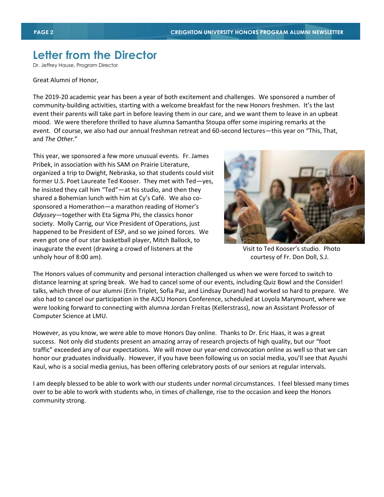## **Letter from the Director**

Dr. Jeffrey Hause, Program Director

#### Great Alumni of Honor,

The 2019-20 academic year has been a year of both excitement and challenges. We sponsored a number of community-building activities, starting with a welcome breakfast for the new Honors freshmen. It's the last event their parents will take part in before leaving them in our care, and we want them to leave in an upbeat mood. We were therefore thrilled to have alumna Samantha Stoupa offer some inspiring remarks at the event. Of course, we also had our annual freshman retreat and 60-second lectures—this year on "This, That, and *The Other*."

This year, we sponsored a few more unusual events. Fr. James Pribek, in association with his SAM on Prairie Literature, organized a trip to Dwight, Nebraska, so that students could visit former U.S. Poet Laureate Ted Kooser. They met with Ted—yes, he insisted they call him "Ted"—at his studio, and then they shared a Bohemian lunch with him at Cy's Café. We also cosponsored a Homerathon—a marathon reading of Homer's *Odyssey*—together with Eta Sigma Phi, the classics honor society. Molly Carrig, our Vice President of Operations, just happened to be President of ESP, and so we joined forces. We even got one of our star basketball player, Mitch Ballock, to inaugurate the event (drawing a crowd of listeners at the Visit to Ted Kooser's studio. Photo unholy hour of 8:00 am). courtesy of Fr. Don Doll, S.J.



The Honors values of community and personal interaction challenged us when we were forced to switch to distance learning at spring break. We had to cancel some of our events, including Quiz Bowl and the Consider! talks, which three of our alumni (Erin Triplet, Sofia Paz, and Lindsay Durand) had worked so hard to prepare. We also had to cancel our participation in the AJCU Honors Conference, scheduled at Loyola Marymount, where we were looking forward to connecting with alumna Jordan Freitas (Kellerstrass), now an Assistant Professor of Computer Science at LMU.

However, as you know, we were able to move Honors Day online. Thanks to Dr. Eric Haas, it was a great success. Not only did students present an amazing array of research projects of high quality, but our "foot traffic" exceeded any of our expectations. We will move our year-end convocation online as well so that we can honor our graduates individually. However, if you have been following us on social media, you'll see that Ayushi Kaul, who is a social media genius, has been offering celebratory posts of our seniors at regular intervals.

I am deeply blessed to be able to work with our students under normal circumstances. I feel blessed many times over to be able to work with students who, in times of challenge, rise to the occasion and keep the Honors community strong.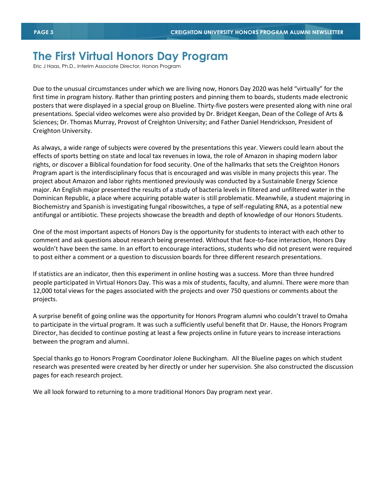### **The First Virtual Honors Day Program**

Eric J Haas, Ph.D., Interim Associate Director, Honors Program

Due to the unusual circumstances under which we are living now, Honors Day 2020 was held "virtually" for the first time in program history. Rather than printing posters and pinning them to boards, students made electronic posters that were displayed in a special group on Blueline. Thirty-five posters were presented along with nine oral presentations. Special video welcomes were also provided by Dr. Bridget Keegan, Dean of the College of Arts & Sciences; Dr. Thomas Murray, Provost of Creighton University; and Father Daniel Hendrickson, President of Creighton University.

As always, a wide range of subjects were covered by the presentations this year. Viewers could learn about the effects of sports betting on state and local tax revenues in Iowa, the role of Amazon in shaping modern labor rights, or discover a Biblical foundation for food security. One of the hallmarks that sets the Creighton Honors Program apart is the interdisciplinary focus that is encouraged and was visible in many projects this year. The project about Amazon and labor rights mentioned previously was conducted by a Sustainable Energy Science major. An English major presented the results of a study of bacteria levels in filtered and unfiltered water in the Dominican Republic, a place where acquiring potable water is still problematic. Meanwhile, a student majoring in Biochemistry and Spanish is investigating fungal riboswitches, a type of self-regulating RNA, as a potential new antifungal or antibiotic. These projects showcase the breadth and depth of knowledge of our Honors Students.

One of the most important aspects of Honors Day is the opportunity for students to interact with each other to comment and ask questions about research being presented. Without that face-to-face interaction, Honors Day wouldn't have been the same. In an effort to encourage interactions, students who did not present were required to post either a comment or a question to discussion boards for three different research presentations.

If statistics are an indicator, then this experiment in online hosting was a success. More than three hundred people participated in Virtual Honors Day. This was a mix of students, faculty, and alumni. There were more than 12,000 total views for the pages associated with the projects and over 750 questions or comments about the projects.

A surprise benefit of going online was the opportunity for Honors Program alumni who couldn't travel to Omaha to participate in the virtual program. It was such a sufficiently useful benefit that Dr. Hause, the Honors Program Director, has decided to continue posting at least a few projects online in future years to increase interactions between the program and alumni.

Special thanks go to Honors Program Coordinator Jolene Buckingham. All the Blueline pages on which student research was presented were created by her directly or under her supervision. She also constructed the discussion pages for each research project.

We all look forward to returning to a more traditional Honors Day program next year.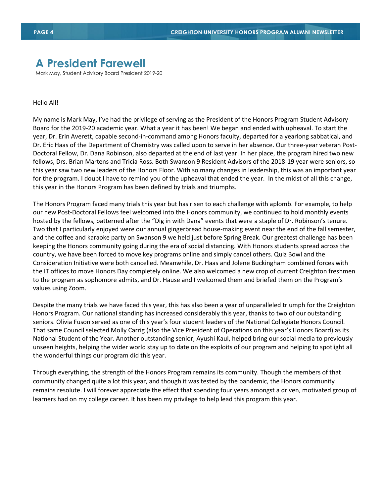### **A President Farewell**

Mark May, Student Advisory Board President 2019-20

#### Hello All!

My name is Mark May, I've had the privilege of serving as the President of the Honors Program Student Advisory Board for the 2019-20 academic year. What a year it has been! We began and ended with upheaval. To start the year, Dr. Erin Averett, capable second-in-command among Honors faculty, departed for a yearlong sabbatical, and Dr. Eric Haas of the Department of Chemistry was called upon to serve in her absence. Our three-year veteran Post-Doctoral Fellow, Dr. Dana Robinson, also departed at the end of last year. In her place, the program hired two new fellows, Drs. Brian Martens and Tricia Ross. Both Swanson 9 Resident Advisors of the 2018-19 year were seniors, so this year saw two new leaders of the Honors Floor. With so many changes in leadership, this was an important year for the program. I doubt I have to remind you of the upheaval that ended the year. In the midst of all this change, this year in the Honors Program has been defined by trials and triumphs.

The Honors Program faced many trials this year but has risen to each challenge with aplomb. For example, to help our new Post-Doctoral Fellows feel welcomed into the Honors community, we continued to hold monthly events hosted by the fellows, patterned after the "Dig in with Dana" events that were a staple of Dr. Robinson's tenure. Two that I particularly enjoyed were our annual gingerbread house-making event near the end of the fall semester, and the coffee and karaoke party on Swanson 9 we held just before Spring Break. Our greatest challenge has been keeping the Honors community going during the era of social distancing. With Honors students spread across the country, we have been forced to move key programs online and simply cancel others. Quiz Bowl and the Consideration Initiative were both cancelled. Meanwhile, Dr. Haas and Jolene Buckingham combined forces with the IT offices to move Honors Day completely online. We also welcomed a new crop of current Creighton freshmen to the program as sophomore admits, and Dr. Hause and I welcomed them and briefed them on the Program's values using Zoom.

Despite the many trials we have faced this year, this has also been a year of unparalleled triumph for the Creighton Honors Program. Our national standing has increased considerably this year, thanks to two of our outstanding seniors. Olivia Fuson served as one of this year's four student leaders of the National Collegiate Honors Council. That same Council selected Molly Carrig (also the Vice President of Operations on this year's Honors Board) as its National Student of the Year. Another outstanding senior, Ayushi Kaul, helped bring our social media to previously unseen heights, helping the wider world stay up to date on the exploits of our program and helping to spotlight all the wonderful things our program did this year.

Through everything, the strength of the Honors Program remains its community. Though the members of that community changed quite a lot this year, and though it was tested by the pandemic, the Honors community remains resolute. I will forever appreciate the effect that spending four years amongst a driven, motivated group of learners had on my college career. It has been my privilege to help lead this program this year.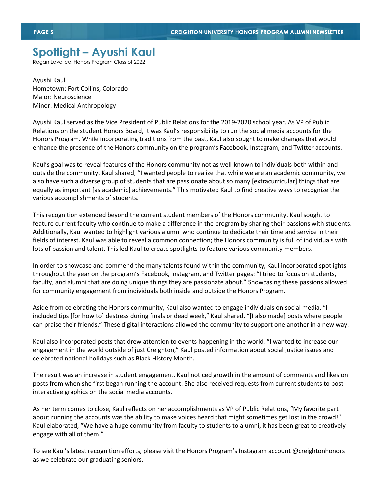## **Spotlight – Ayushi Kaul**

Regan Lavallee, Honors Program Class of 2022

Ayushi Kaul Hometown: Fort Collins, Colorado Major: Neuroscience Minor: Medical Anthropology

Ayushi Kaul served as the Vice President of Public Relations for the 2019-2020 school year. As VP of Public Relations on the student Honors Board, it was Kaul's responsibility to run the social media accounts for the Honors Program. While incorporating traditions from the past, Kaul also sought to make changes that would enhance the presence of the Honors community on the program's Facebook, Instagram, and Twitter accounts.

Kaul's goal was to reveal features of the Honors community not as well-known to individuals both within and outside the community. Kaul shared, "I wanted people to realize that while we are an academic community, we also have such a diverse group of students that are passionate about so many [extracurricular] things that are equally as important [as academic] achievements." This motivated Kaul to find creative ways to recognize the various accomplishments of students.

This recognition extended beyond the current student members of the Honors community. Kaul sought to feature current faculty who continue to make a difference in the program by sharing their passions with students. Additionally, Kaul wanted to highlight various alumni who continue to dedicate their time and service in their fields of interest. Kaul was able to reveal a common connection; the Honors community is full of individuals with lots of passion and talent. This led Kaul to create spotlights to feature various community members.

In order to showcase and commend the many talents found within the community, Kaul incorporated spotlights throughout the year on the program's Facebook, Instagram, and Twitter pages: "I tried to focus on students, faculty, and alumni that are doing unique things they are passionate about." Showcasing these passions allowed for community engagement from individuals both inside and outside the Honors Program.

Aside from celebrating the Honors community, Kaul also wanted to engage individuals on social media, "I included tips [for how to] destress during finals or dead week," Kaul shared, "[I also made] posts where people can praise their friends." These digital interactions allowed the community to support one another in a new way.

Kaul also incorporated posts that drew attention to events happening in the world, "I wanted to increase our engagement in the world outside of just Creighton," Kaul posted information about social justice issues and celebrated national holidays such as Black History Month.

The result was an increase in student engagement. Kaul noticed growth in the amount of comments and likes on posts from when she first began running the account. She also received requests from current students to post interactive graphics on the social media accounts.

As her term comes to close, Kaul reflects on her accomplishments as VP of Public Relations, "My favorite part about running the accounts was the ability to make voices heard that might sometimes get lost in the crowd!" Kaul elaborated, "We have a huge community from faculty to students to alumni, it has been great to creatively engage with all of them."

To see Kaul's latest recognition efforts, please visit the Honors Program's Instagram account @creightonhonors as we celebrate our graduating seniors.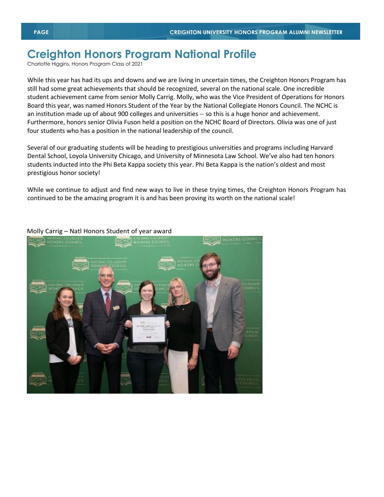## **Creighton Honors Program National Profile**

Charlotte Higgins, Honors Program Class of 2021

While this year has had its ups and downs and we are living in uncertain times, the Creighton Honors Program has still had some great achievements that should be recognized, several on the national scale. One incredible student achievement came from senior Molly Carrig. Molly, who was the Vice President of Operations for Honors Board this year, was named Honors Student of the Year by the National Collegiate Honors Council. The NCHC is an institution made up of about 900 colleges and universities -- so this is a huge honor and achievement. Furthermore, honors senior Olivia Fuson held a position on the NCHC Board of Directors. Olivia was one of just four students who has a position in the national leadership of the council.

Several of our graduating students will be heading to prestigious universities and programs including Harvard Dental School, Loyola University Chicago, and University of Minnesota Law School. We've also had ten honors students inducted into the Phi Beta Kappa society this year. Phi Beta Kappa is the nation's oldest and most prestigious honor society!

While we continue to adjust and find new ways to live in these trying times, the Creighton Honors Program has continued to be the amazing program it is and has been proving its worth on the national scale!



#### Molly Carrig – Natl Honors Student of year award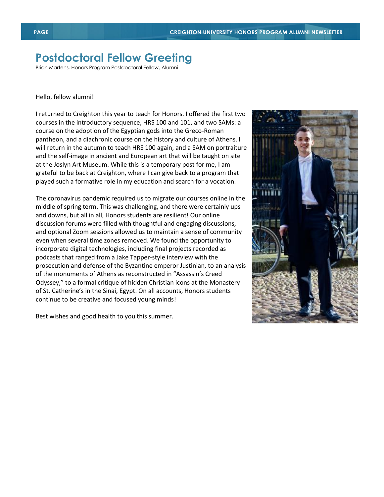### **Postdoctoral Fellow Greeting**

Brian Martens, Honors Program Postdoctoral Fellow, Alumni

#### Hello, fellow alumni!

I returned to Creighton this year to teach for Honors. I offered the first two courses in the introductory sequence, HRS 100 and 101, and two SAMs: a course on the adoption of the Egyptian gods into the Greco-Roman pantheon, and a diachronic course on the history and culture of Athens. I will return in the autumn to teach HRS 100 again, and a SAM on portraiture and the self-image in ancient and European art that will be taught on site at the Joslyn Art Museum. While this is a temporary post for me, I am grateful to be back at Creighton, where I can give back to a program that played such a formative role in my education and search for a vocation.

The coronavirus pandemic required us to migrate our courses online in the middle of spring term. This was challenging, and there were certainly ups and downs, but all in all, Honors students are resilient! Our online discussion forums were filled with thoughtful and engaging discussions, and optional Zoom sessions allowed us to maintain a sense of community even when several time zones removed. We found the opportunity to incorporate digital technologies, including final projects recorded as podcasts that ranged from a Jake Tapper-style interview with the prosecution and defense of the Byzantine emperor Justinian, to an analysis of the monuments of Athens as reconstructed in "Assassin's Creed Odyssey," to a formal critique of hidden Christian icons at the Monastery of St. Catherine's in the Sinai, Egypt. On all accounts, Honors students continue to be creative and focused young minds!

Best wishes and good health to you this summer.

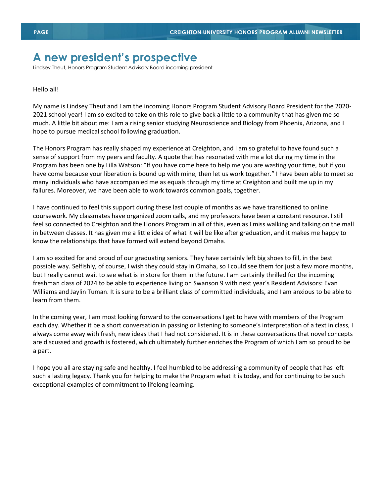#### **A new president's prospective**

Lindsey Theut, Honors Program Student Advisory Board incoming president

#### Hello all!

My name is Lindsey Theut and I am the incoming Honors Program Student Advisory Board President for the 2020- 2021 school year! I am so excited to take on this role to give back a little to a community that has given me so much. A little bit about me: I am a rising senior studying Neuroscience and Biology from Phoenix, Arizona, and I hope to pursue medical school following graduation.

The Honors Program has really shaped my experience at Creighton, and I am so grateful to have found such a sense of support from my peers and faculty. A quote that has resonated with me a lot during my time in the Program has been one by Lilla Watson: "If you have come here to help me you are wasting your time, but if you have come because your liberation is bound up with mine, then let us work together." I have been able to meet so many individuals who have accompanied me as equals through my time at Creighton and built me up in my failures. Moreover, we have been able to work towards common goals, together.

I have continued to feel this support during these last couple of months as we have transitioned to online coursework. My classmates have organized zoom calls, and my professors have been a constant resource. I still feel so connected to Creighton and the Honors Program in all of this, even as I miss walking and talking on the mall in between classes. It has given me a little idea of what it will be like after graduation, and it makes me happy to know the relationships that have formed will extend beyond Omaha.

I am so excited for and proud of our graduating seniors. They have certainly left big shoes to fill, in the best possible way. Selfishly, of course, I wish they could stay in Omaha, so I could see them for just a few more months, but I really cannot wait to see what is in store for them in the future. I am certainly thrilled for the incoming freshman class of 2024 to be able to experience living on Swanson 9 with next year's Resident Advisors: Evan Williams and Jaylin Tuman. It is sure to be a brilliant class of committed individuals, and I am anxious to be able to learn from them.

In the coming year, I am most looking forward to the conversations I get to have with members of the Program each day. Whether it be a short conversation in passing or listening to someone's interpretation of a text in class, I always come away with fresh, new ideas that I had not considered. It is in these conversations that novel concepts are discussed and growth is fostered, which ultimately further enriches the Program of which I am so proud to be a part.

I hope you all are staying safe and healthy. I feel humbled to be addressing a community of people that has left such a lasting legacy. Thank you for helping to make the Program what it is today, and for continuing to be such exceptional examples of commitment to lifelong learning.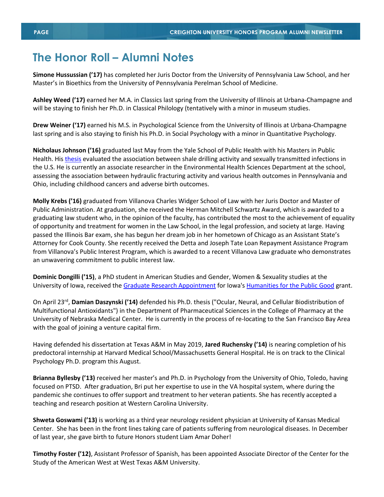### **The Honor Roll – Alumni Notes**

**Simone Hussussian ('17)** has completed her Juris Doctor from the University of Pennsylvania Law School, and her Master's in Bioethics from the University of Pennsylvania Perelman School of Medicine.

**Ashley Weed ('17)** earned her M.A. in Classics last spring from the University of Illinois at Urbana-Champagne and will be staying to finish her Ph.D. in Classical Philology (tentatively with a minor in museum studies.

**Drew Weiner ('17)** earned his M.S. in Psychological Science from the University of Illinois at Urbana-Champagne last spring and is also staying to finish his Ph.D. in Social Psychology with a minor in Quantitative Psychology.

**Nicholaus Johnson ('16)** graduated last May from the Yale School of Public Health with his Masters in Public Health. Hi[s thesis](https://journals.lww.com/stdjournal/2020/04000/A_Multiregion_Analysis_of_Shale_Drilling_Activity.9.aspxFullText) evaluated the association between shale drilling activity and sexually transmitted infections in the U.S. He is currently an associate researcher in the Environmental Health Sciences Department at the school, assessing the association between hydraulic fracturing activity and various health outcomes in Pennsylvania and Ohio, including childhood cancers and adverse birth outcomes.

**Molly Krebs ('16)** graduated from Villanova Charles Widger School of Law with her Juris Doctor and Master of Public Administration. At graduation, she received the Herman Mitchell Schwartz Award, which is awarded to a graduating law student who, in the opinion of the faculty, has contributed the most to the achievement of equality of opportunity and treatment for women in the Law School, in the legal profession, and society at large. Having passed the Illinois Bar exam, she has begun her dream job in her hometown of Chicago as an Assistant State's Attorney for Cook County. She recently received the Detta and Joseph Tate Loan Repayment Assistance Program from Villanova's Public Interest Program, which is awarded to a recent Villanova Law graduate who demonstrates an unwavering commitment to public interest law.

**Dominic Dongilli ('15)**, a PhD student in American Studies and Gender, Women & Sexuality studies at the University of Iowa, received the [Graduate Research Appointment](https://urldefense.com/v3/__https:/obermann.uiowa.edu/news/meet-dominic-dongilli-hpgs-new-graduate-research-assistant__;!!MuWMPV1_1eXDnA!jLnqgbyUzzbXMAOHSiJuVWXbTvzr6gzBYODXfi4mxSt9X4XufucQLwO5DCxHHnAg-_LuwqRR$) for Iowa's [Humanities for the Public Good](https://urldefense.com/v3/__https:/uihumanitiesforthepublicgood.com/about-2/__;!!MuWMPV1_1eXDnA!jLnqgbyUzzbXMAOHSiJuVWXbTvzr6gzBYODXfi4mxSt9X4XufucQLwO5DCxHHnAg-_WUHYuA$) grant.

On April 23<sup>rd</sup>, Damian Daszynski ('14) defended his Ph.D. thesis ("Ocular, Neural, and Cellular Biodistribution of Multifunctional Antioxidants") in the Department of Pharmaceutical Sciences in the College of Pharmacy at the University of Nebraska Medical Center. He is currently in the process of re-locating to the San Francisco Bay Area with the goal of joining a venture capital firm.

Having defended his dissertation at Texas A&M in May 2019, **Jared Ruchensky ('14)** is nearing completion of his predoctoral internship at Harvard Medical School/Massachusetts General Hospital. He is on track to the Clinical Psychology Ph.D. program this August.

**Brianna Byllesby ('13)** received her master's and Ph.D. in Psychology from the University of Ohio, Toledo, having focused on PTSD. After graduation, Bri put her expertise to use in the VA hospital system, where during the pandemic she continues to offer support and treatment to her veteran patients. She has recently accepted a teaching and research position at Western Carolina University.

**Shweta Goswami ('13)** is working as a third year neurology resident physician at University of Kansas Medical Center. She has been in the front lines taking care of patients suffering from neurological diseases. In December of last year, she gave birth to future Honors student Liam Amar Doher!

**Timothy Foster ('12)**, Assistant Professor of Spanish, has been appointed Associate Director of the Center for the Study of the American West at West Texas A&M University.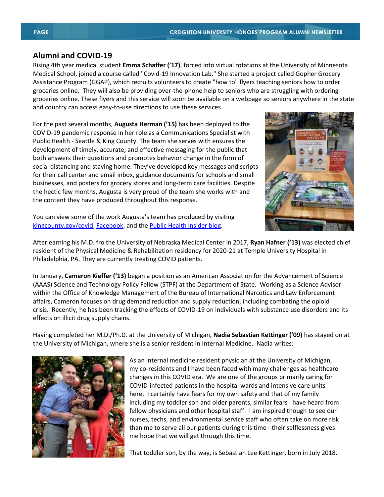#### **Alumni and COVID-19**

Rising 4th year medical student **Emma Schaffer ('17)**, forced into virtual rotations at the University of Minnesota Medical School, joined a course called "Covid-19 Innovation Lab." She started a project called Gopher Grocery Assistance Program (GGAP), which recruits volunteers to create "how to" flyers teaching seniors how to order groceries online. They will also be providing over-the-phone help to seniors who are struggling with ordering groceries online. These flyers and this service will soon be available on a webpage so seniors anywhere in the state and country can access easy-to-use directions to use these services.

For the past several months, **Augusta Herman ('15)** has been deployed to the COVID-19 pandemic response in her role as a Communications Specialist with Public Health - Seattle & King County. The team she serves with ensures the development of timely, accurate, and effective messaging for the public that both answers their questions and promotes behavior change in the form of social distancing and staying home. They've developed key messages and scripts for their call center and email inbox, guidance documents for schools and small businesses, and posters for grocery stores and long-term care facilities. Despite the hectic few months, Augusta is very proud of the team she works with and the content they have produced throughout this response.



You can view some of the work Augusta's team has produced by visiting [kingcounty.gov/covid,](https://urldefense.com/v3/__http:/kingcounty.gov/covid__;!!MuWMPV1_1eXDnA!kWnh8xiSe2WkBfRxCJKenU13ndHwlVRJPmtjTb0BhNcLWpi-s_4i33InfPvWHm_BpxkJgtbU$) [Facebook,](https://urldefense.com/v3/__https:/www.facebook.com/KCPubHealth/__;!!MuWMPV1_1eXDnA!kWnh8xiSe2WkBfRxCJKenU13ndHwlVRJPmtjTb0BhNcLWpi-s_4i33InfPvWHm_Bp2P5pPR0$) and th[e Public Health Insider blog.](https://urldefense.com/v3/__https:/publichealthinsider.com/__;!!MuWMPV1_1eXDnA!kWnh8xiSe2WkBfRxCJKenU13ndHwlVRJPmtjTb0BhNcLWpi-s_4i33InfPvWHm_Bp-W8gVLp$)

After earning his M.D. fro the University of Nebraska Medical Center in 2017, **Ryan Hafner ('13)** was elected chief resident of the Physical Medicine & Rehabilitation residency for 2020-21 at Temple University Hospital in Philadelphia, PA. They are currently treating COVID patients.

In January, **Cameron Kieffer ('13)** began a position as an American Association for the Advancement of Science (AAAS) Science and Technology Policy Fellow (STPF) at the Department of State. Working as a Science Advisor within the Office of Knowledge Management of the Bureau of International Narcotics and Law Enforcement affairs, Cameron focuses on drug demand reduction and supply reduction, including combating the opioid crisis. Recently, he has been tracking the effects of COVID-19 on individuals with substance use disorders and its effects on illicit drug supply chains.

Having completed her M.D./Ph.D. at the University of Michigan, **Nadia Sebastian Kettinger ('09)** has stayed on at the University of Michigan, where she is a senior resident in Internal Medicine. Nadia writes:



As an internal medicine resident physician at the University of Michigan, my co-residents and I have been faced with many challenges as healthcare changes in this COVID era. We are one of the groups primarily caring for COVID-infected patients in the hospital wards and intensive care units here. I certainly have fears for my own safety and that of my family including my toddler son and older parents, similar fears I have heard from fellow physicians and other hospital staff. I am inspired though to see our nurses, techs, and environmental service staff who often take on more risk than me to serve all our patients during this time - their selflessness gives me hope that we will get through this time.

That toddler son, by the way, is Sebastian Lee Kettinger, born in July 2018.